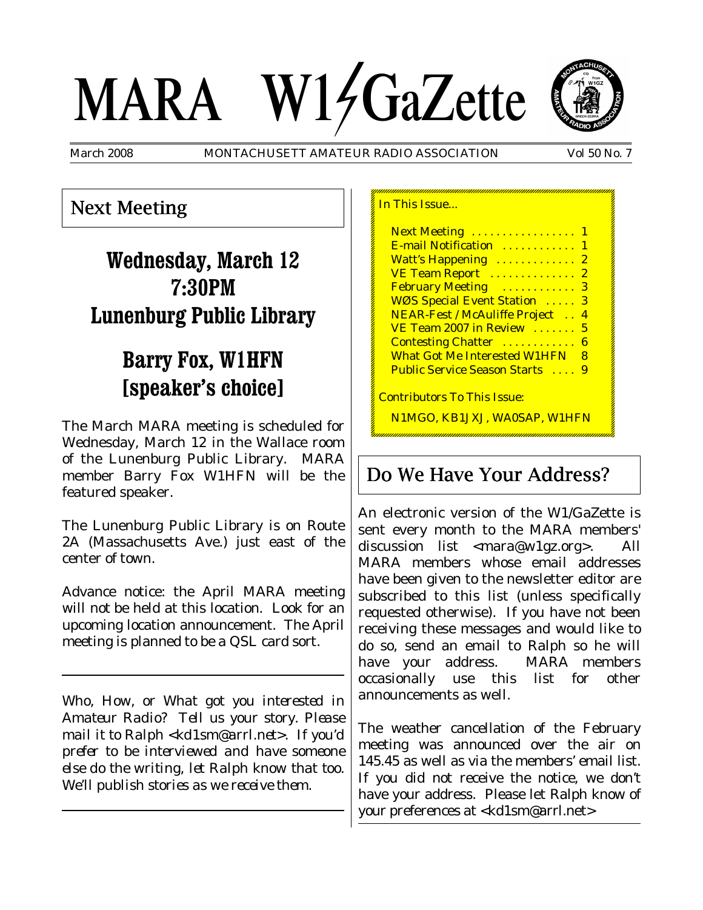# MARA W14GaZette



March 2008 MONTACHUSETT AMATEUR RADIO ASSOCIATION Vol 50 No. 7

# Next Meeting

# **Wednesday, March 12 7:30PM Lunenburg Public Library**

# **Barry Fox, W1HFN [speaker's choice]**

The March MARA meeting is scheduled for Wednesday, March 12 in the Wallace room of the Lunenburg Public Library. MARA member Barry Fox W1HFN will be the featured speaker.

The Lunenburg Public Library is on Route 2A (Massachusetts Ave.) just east of the center of town.

Advance notice: the April MARA meeting will *not* be held at this location. Look for an upcoming location announcement. The April meeting is planned to be a QSL card sort.

*Who, How, or What got you interested in Amateur Radio? Tell us your story. Please mail it to Ralph <kd1sm@arrl.net>. If you'd prefer to be interviewed and have someone else do the writing, let Ralph know that too. We'll publish stories as we receive them.*

| In This Issue                             |
|-------------------------------------------|
| Next Meeting  1                           |
| E-mail Notification  1                    |
| Watt's Happening<br>$\boldsymbol{2}$      |
| VE Team Report<br>2                       |
| February Meeting<br>3                     |
| WØS Special Event Station<br>3            |
| <b>NEAR-Fest / McAuliffe Project</b><br>4 |
| VE Team 2007 in Review<br>5               |
| <b>Contesting Chatter </b><br>6           |
| <b>What Got Me Interested W1HFN</b><br>8  |
| <b>Public Service Season Starts</b> 9     |
| <u> Contributors To This Issue:</u>       |
| N1MGO, KB1JXJ, WA0SAP, W1HFN              |

# Do We Have Your Address?

An electronic version of the W1/GaZette is sent every month to the MARA members' discussion list <mara@w1gz.org>. All MARA members whose email addresses have been given to the newsletter editor are subscribed to this list (unless specifically requested otherwise). If you have not been receiving these messages and would like to do so, send an email to Ralph so he will have your address. MARA members occasionally use this list for other announcements as well.

The weather cancellation of the February meeting was announced over the air on 145.45 as well as via the members' email list. If you did not receive the notice, we don't have your address. Please let Ralph know of your preferences at <kd1sm@arrl.net>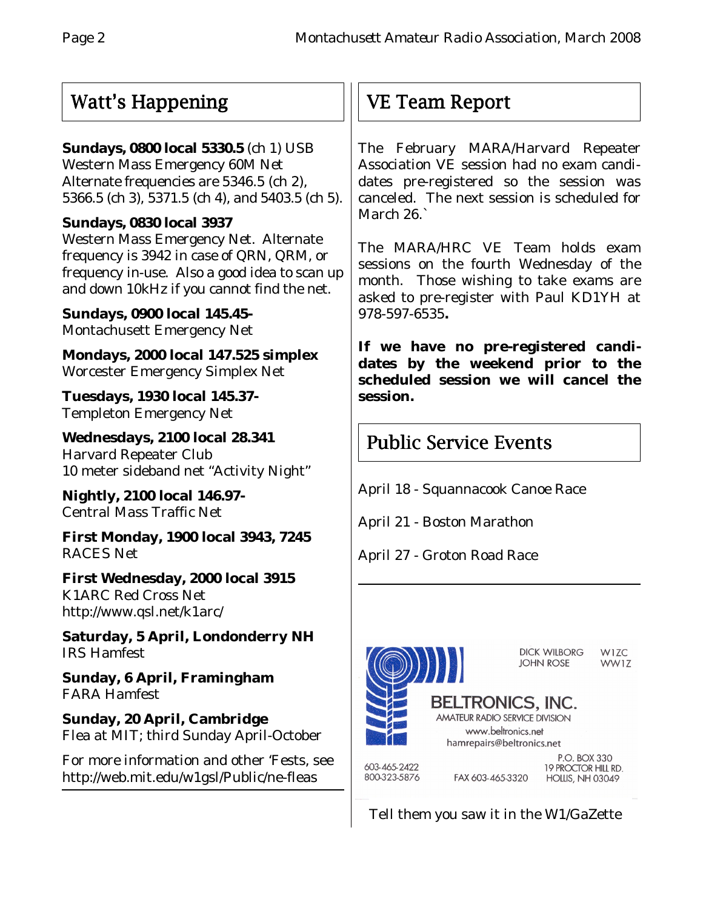# Watt's Happening

#### **Sundays, 0800 local 5330.5** (ch 1) USB

Western Mass Emergency 60M Net Alternate frequencies are 5346.5 (ch 2), 5366.5 (ch 3), 5371.5 (ch 4), and 5403.5 (ch 5).

#### **Sundays, 0830 local 3937**

Western Mass Emergency Net. Alternate frequency is 3942 in case of QRN, QRM, or frequency in-use. Also a good idea to scan up and down 10kHz if you cannot find the net.

**Sundays, 0900 local 145.45-** Montachusett Emergency Net

**Mondays, 2000 local 147.525 simplex** Worcester Emergency Simplex Net

**Tuesdays, 1930 local 145.37-** Templeton Emergency Net

**Wednesdays, 2100 local 28.341** Harvard Repeater Club 10 meter sideband net "Activity Night"

**Nightly, 2100 local 146.97-** Central Mass Traffic Net

**First Monday, 1900 local 3943, 7245** RACES Net

**First Wednesday, 2000 local 3915** K1ARC Red Cross Net http://www.qsl.net/k1arc/

**Saturday, 5 April, Londonderry NH** IRS Hamfest

**Sunday, 6 April, Framingham** FARA Hamfest

**Sunday, 20 April, Cambridge** Flea at MIT; third Sunday April-October

For more information and other 'Fests, see http://web.mit.edu/w1gsl/Public/ne-fleas

# VE Team Report

The February MARA/Harvard Repeater Association VE session had no exam candidates pre-registered so the session was canceled. The next session is scheduled for March 26.`

The MARA/HRC VE Team holds exam sessions on the fourth Wednesday of the month. Those wishing to take exams are asked to pre-register with Paul KD1YH at 978-597-6535**.**

**If we have no pre-registered candidates by the weekend prior to the scheduled session we will cancel the session.**

# Public Service Events

April 18 - Squannacook Canoe Race

April 21 - Boston Marathon

April 27 - Groton Road Race



Tell them you saw it in the W1/GaZette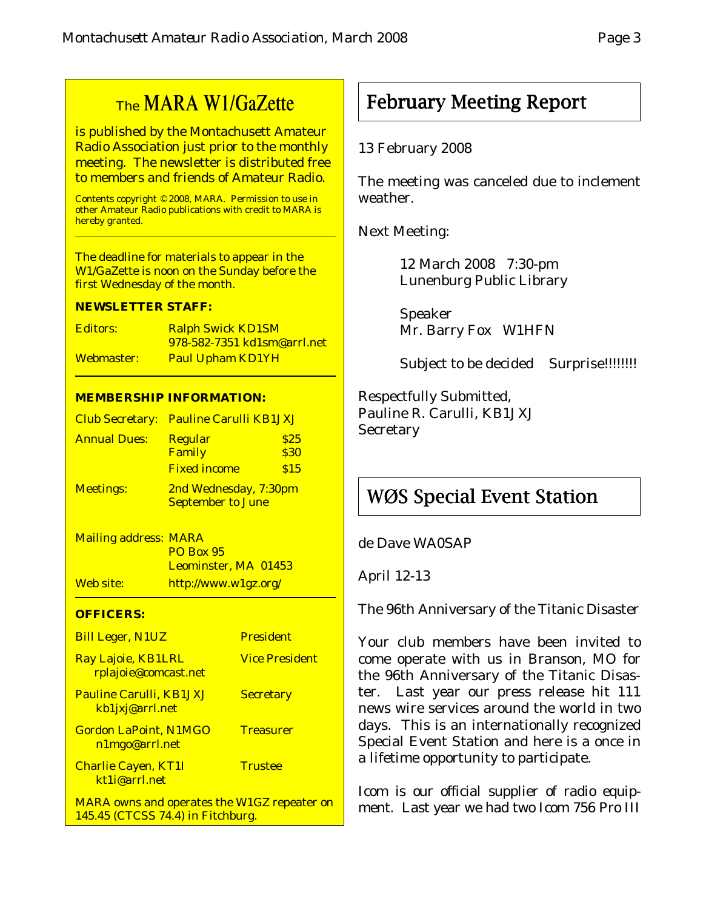# The MARA W1/GaZette

is published by the Montachusett Amateur Radio Association just prior to the monthly meeting. The newsletter is distributed free to members and friends of Amateur Radio.

Contents copyright © 2008, MARA. Permission to use in other Amateur Radio publications with credit to MARA is hereby granted.

The deadline for materials to appear in the W1/GaZette is noon on the Sunday before the first Wednesday of the month.

#### **NEWSLETTER STAFF:**

| Editors:   | <b>Ralph Swick KD1SM</b>            |  |
|------------|-------------------------------------|--|
|            | <u>978-582-7351 kd1sm@arrl.net_</u> |  |
| Webmaster: | <b>Paul Upham KD1YH</b>             |  |

#### **MEMBERSHIP INFORMATION:**

|                     | Club Secretary: Pauline Carulli KB1JXJ |      |  |
|---------------------|----------------------------------------|------|--|
| <b>Annual Dues:</b> | <b>Regular</b>                         | \$25 |  |
|                     | Family                                 | \$30 |  |
|                     | <b>Fixed income</b>                    | \$15 |  |
| <b>Meetings:</b>    | 2nd Wednesday, 7:30pm                  |      |  |
|                     | <b>September to June</b>               |      |  |

Mailing address: MARA PO Box 95 Leominster, MA 01453 Web site: http://www.w1gz.org/

#### **OFFICERS:**

| <b>Bill Leger, N1UZ</b>                                                                 | <b>President</b>      |
|-----------------------------------------------------------------------------------------|-----------------------|
| Ray Lajoie, KB1LRL<br>rplajoie@comcast.net                                              | <b>Vice President</b> |
| <b>Pauline Carulli, KB1JXJ</b><br>kb1jxj@arrl.net                                       | <b>Secretary</b>      |
| <b>Gordon LaPoint, N1MGO</b><br>n1mgo@arrl.net                                          | <b>Treasurer</b>      |
| <b>Charlie Cayen, KT1I</b><br>kt1i@arrl.net                                             | <b>Trustee</b>        |
| <b>MARA</b> owns and operates the W1GZ repeater on<br>145.45 (CTCSS 74.4) in Fitchburg. |                       |

# February Meeting Report

#### 13 February 2008

The meeting was canceled due to inclement weather.

Next Meeting:

12 March 2008 7:30-pm Lunenburg Public Library

Speaker Mr. Barry Fox W1HFN

Subject to be decided Surprise!!!!!!!!!

Respectfully Submitted, Pauline R. Carulli, KB1JXJ **Secretary** 

# WØS Special Event Station

de Dave WA0SAP

April 12-13

The 96th Anniversary of the Titanic Disaster

Your club members have been invited to come operate with us in Branson, MO for the 96th Anniversary of the Titanic Disaster. Last year our press release hit 111 news wire services around the world in two days. This is an internationally recognized Special Event Station and here is a once in a lifetime opportunity to participate.

Icom is our official supplier of radio equipment. Last year we had two Icom 756 Pro III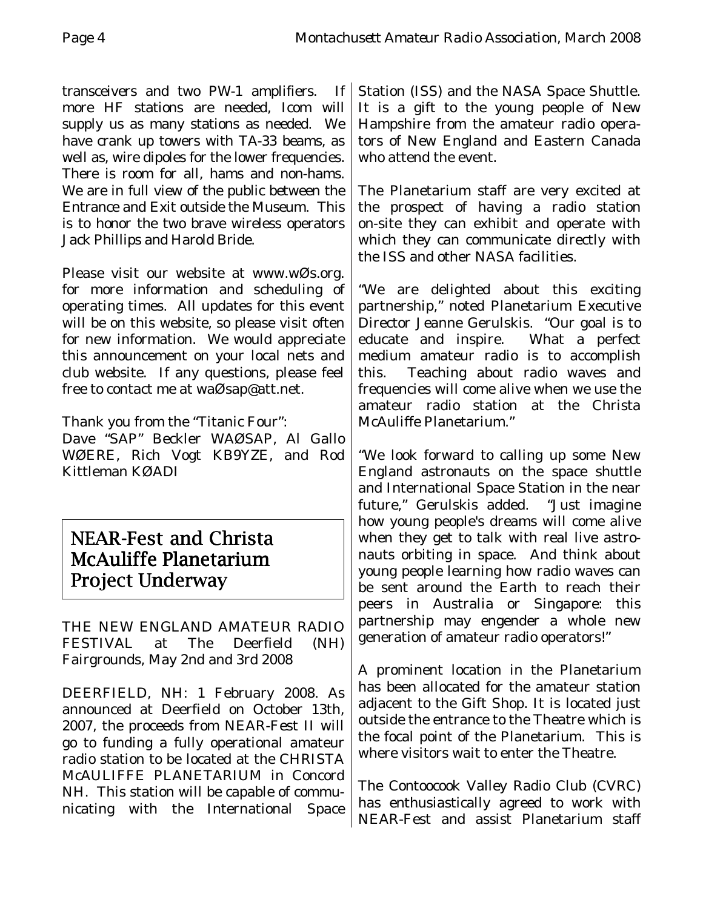transceivers and two PW-1 amplifiers. If more HF stations are needed, Icom will supply us as many stations as needed. We have crank up towers with TA-33 beams, as well as, wire dipoles for the lower frequencies. There is room for all, hams and non-hams. We are in full view of the public between the Entrance and Exit outside the Museum. This is to honor the two brave wireless operators Jack Phillips and Harold Bride.

Please visit our website at www.wØs.org. for more information and scheduling of operating times. All updates for this event will be on this website, so please visit often for new information. We would appreciate this announcement on your local nets and club website. If any questions, please feel free to contact me at waØsap@att.net.

Thank you from the "Titanic Four":

Dave "SAP" Beckler WAØSAP, Al Gallo WØERE, Rich Vogt KB9YZE, and Rod Kittleman KØADI

### NEAR-Fest and Christa McAuliffe Planetarium Project Underway

THE NEW ENGLAND AMATEUR RADIO FESTIVAL at The Deerfield (NH) Fairgrounds, May 2nd and 3rd 2008

DEERFIELD, NH: 1 February 2008. As announced at Deerfield on October 13th, 2007, the proceeds from NEAR-Fest II will go to funding a fully operational amateur radio station to be located at the CHRISTA McAULIFFE PLANETARIUM in Concord NH. This station will be capable of communicating with the International Space

Station (ISS) and the NASA Space Shuttle. It is a gift to the young people of New Hampshire from the amateur radio operators of New England and Eastern Canada who attend the event.

The Planetarium staff are very excited at the prospect of having a radio station on-site they can exhibit and operate with which they can communicate directly with the ISS and other NASA facilities.

"We are delighted about this exciting partnership," noted Planetarium Executive Director Jeanne Gerulskis. "Our goal is to educate and inspire. What a perfect medium amateur radio is to accomplish this. Teaching about radio waves and frequencies will come alive when we use the amateur radio station at the Christa McAuliffe Planetarium."

"We look forward to calling up some New England astronauts on the space shuttle and International Space Station in the near future," Gerulskis added. "Just imagine how young people's dreams will come alive when they get to talk with real live astronauts orbiting in space. And think about young people learning how radio waves can be sent around the Earth to reach their peers in Australia or Singapore: this partnership may engender a whole new generation of amateur radio operators!"

A prominent location in the Planetarium has been allocated for the amateur station adjacent to the Gift Shop. It is located just outside the entrance to the Theatre which is the focal point of the Planetarium. This is where visitors wait to enter the Theatre.

The Contoocook Valley Radio Club (CVRC) has enthusiastically agreed to work with NEAR-Fest and assist Planetarium staff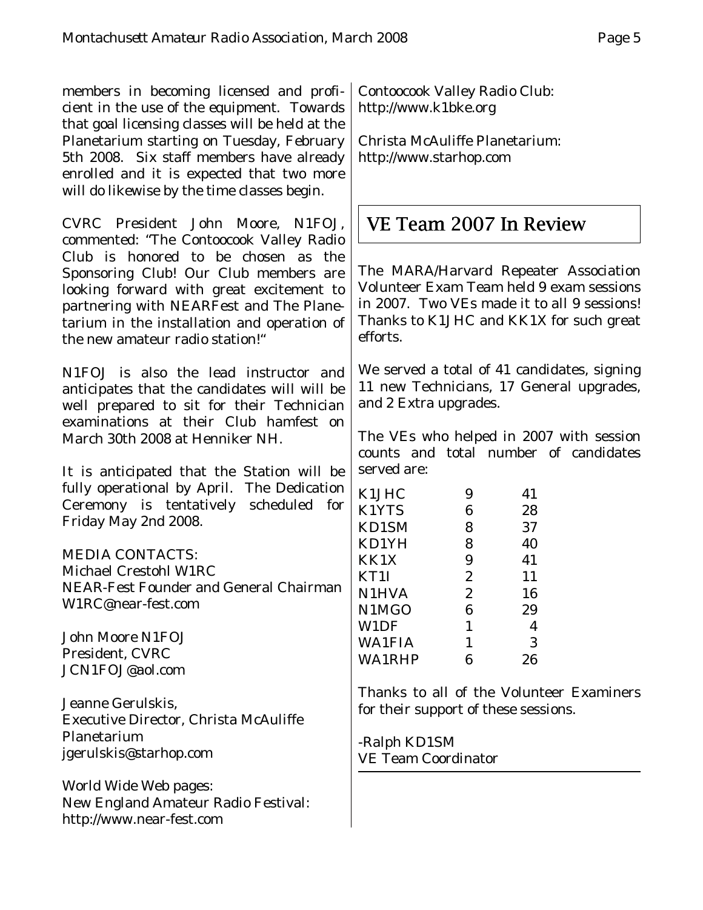members in becoming licensed and proficient in the use of the equipment. Towards that goal licensing classes will be held at the Planetarium starting on Tuesday, February 5th 2008. Six staff members have already enrolled and it is expected that two more will do likewise by the time classes begin.

CVRC President John Moore, N1FOJ, commented: "The Contoocook Valley Radio Club is honored to be chosen as the Sponsoring Club! Our Club members are looking forward with great excitement to partnering with NEARFest and The Planetarium in the installation and operation of the new amateur radio station!"

N1FOJ is also the lead instructor and anticipates that the candidates will will be well prepared to sit for their Technician examinations at their Club hamfest on March 30th 2008 at Henniker NH.

It is anticipated that the Station will be fully operational by April. The Dedication Ceremony is tentatively scheduled for Friday May 2nd 2008.

#### MEDIA CONTACTS:

Michael Crestohl W1RC NEAR-Fest Founder and General Chairman W1RC@near-fest.com

John Moore N1FOJ President, CVRC JCN1FOJ@aol.com

Jeanne Gerulskis, Executive Director, Christa McAuliffe Planetarium jgerulskis@starhop.com

World Wide Web pages: New England Amateur Radio Festival: http://www.near-fest.com

Contoocook Valley Radio Club: http://www.k1bke.org

Christa McAuliffe Planetarium: http://www.starhop.com

# VE Team 2007 In Review

The MARA/Harvard Repeater Association Volunteer Exam Team held 9 exam sessions in 2007. Two VEs made it to all 9 sessions! Thanks to K1JHC and KK1X for such great efforts.

We served a total of 41 candidates, signing 11 new Technicians, 17 General upgrades, and 2 Extra upgrades.

The VEs who helped in 2007 with session counts and total number of candidates served are:

| K1JHC         | 9              | 41 |
|---------------|----------------|----|
| K1YTS         | 6              | 28 |
| KD1SM         | 8              | 37 |
| KD1YH         | 8              | 40 |
| KK1X          | 9              | 41 |
| KT1I          | $\overline{2}$ | 11 |
| <b>N1HVA</b>  | $\overline{2}$ | 16 |
| N1MGO         | 6              | 29 |
| W1DF          | 1              | 4  |
| <b>WA1FIA</b> | 1              | 3  |
| <b>WA1RHP</b> | 6              | 26 |

Thanks to all of the Volunteer Examiners for their support of these sessions.

-Ralph KD1SM VE Team Coordinator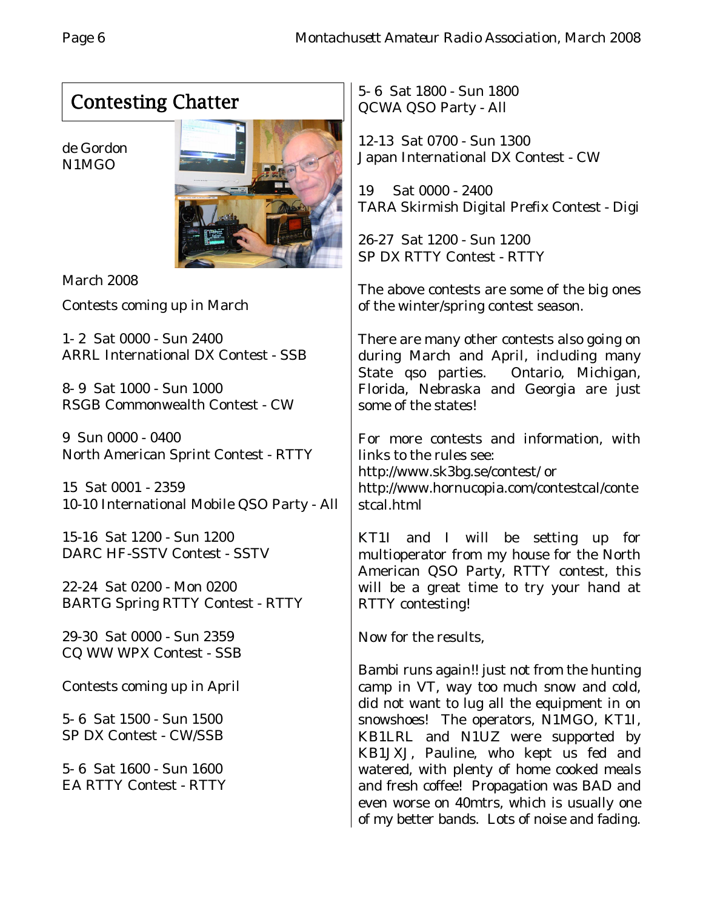# Contesting Chatter

de Gordon N1MGO



March 2008

Contests coming up in March

1- 2 Sat 0000 - Sun 2400 ARRL International DX Contest - SSB

8- 9 Sat 1000 - Sun 1000 RSGB Commonwealth Contest - CW

9 Sun 0000 - 0400 North American Sprint Contest - RTTY

15 Sat 0001 - 2359 10-10 International Mobile QSO Party - All

15-16 Sat 1200 - Sun 1200 DARC HF-SSTV Contest - SSTV

22-24 Sat 0200 - Mon 0200 BARTG Spring RTTY Contest - RTTY

29-30 Sat 0000 - Sun 2359 CQ WW WPX Contest - SSB

Contests coming up in April

5- 6 Sat 1500 - Sun 1500 SP DX Contest - CW/SSB

5- 6 Sat 1600 - Sun 1600 EA RTTY Contest - RTTY 5- 6 Sat 1800 - Sun 1800 QCWA QSO Party - All

12-13 Sat 0700 - Sun 1300 Japan International DX Contest - CW

19 Sat 0000 - 2400 TARA Skirmish Digital Prefix Contest - Digi

26-27 Sat 1200 - Sun 1200 SP DX RTTY Contest - RTTY

The above contests are some of the big ones of the winter/spring contest season.

There are many other contests also going on during March and April, including many State qso parties. Ontario, Michigan, Florida, Nebraska and Georgia are just some of the states!

For more contests and information, with links to the rules see: http://www.sk3bg.se/contest/ or http://www.hornucopia.com/contestcal/conte

stcal.html

KT1I and I will be setting up for multioperator from my house for the North American QSO Party, RTTY contest, this will be a great time to try your hand at RTTY contesting!

Now for the results,

Bambi runs again!! just not from the hunting camp in VT, way too much snow and cold, did not want to lug all the equipment in on snowshoes! The operators, N1MGO, KT1I, KB1LRL and N1UZ were supported by KB1JXJ, Pauline, who kept us fed and watered, with plenty of home cooked meals and fresh coffee! Propagation was BAD and even worse on 40mtrs, which is usually one of my better bands. Lots of noise and fading.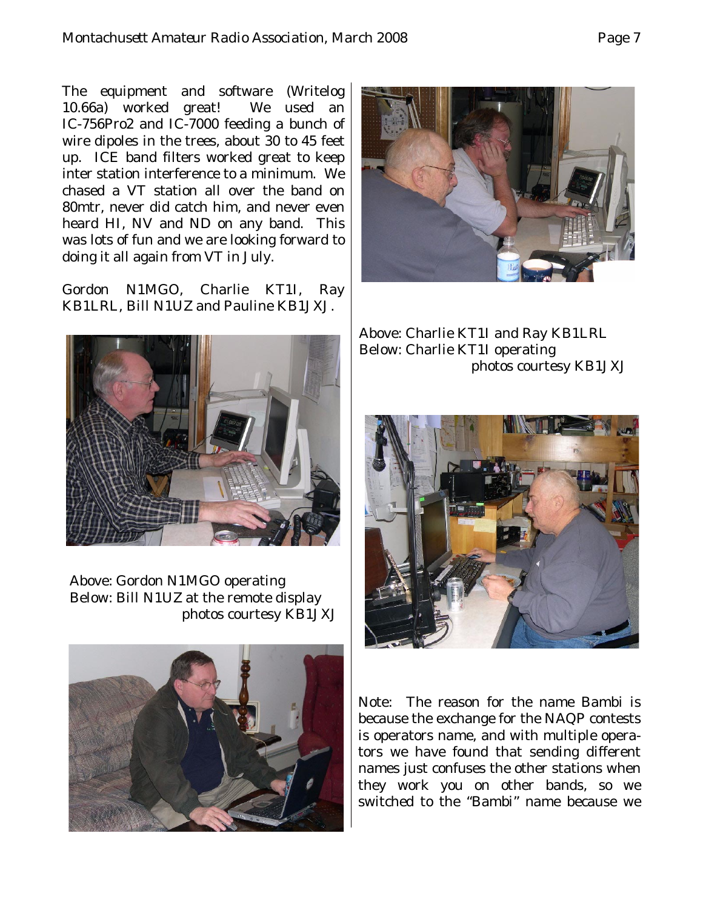The equipment and software (Writelog 10.66a) worked great! We used an IC-756Pro2 and IC-7000 feeding a bunch of wire dipoles in the trees, about 30 to 45 feet up. ICE band filters worked great to keep inter station interference to a minimum. We chased a VT station all over the band on 80mtr, never did catch him, and never even heard HI, NV and ND on any band. This was lots of fun and we are looking forward to doing it all again from VT in July.

Gordon N1MGO, Charlie KT1I, Ray KB1LRL, Bill N1UZ and Pauline KB1JXJ.



Above: Gordon N1MGO operating Below: Bill N1UZ at the remote display photos courtesy KB1JXJ





Above: Charlie KT1I and Ray KB1LRL Below: Charlie KT1I operating photos courtesy KB1JXJ



Note: The reason for the name Bambi is because the exchange for the NAQP contests is operators name, and with multiple operators we have found that sending different names just confuses the other stations when they work you on other bands, so we switched to the "Bambi" name because we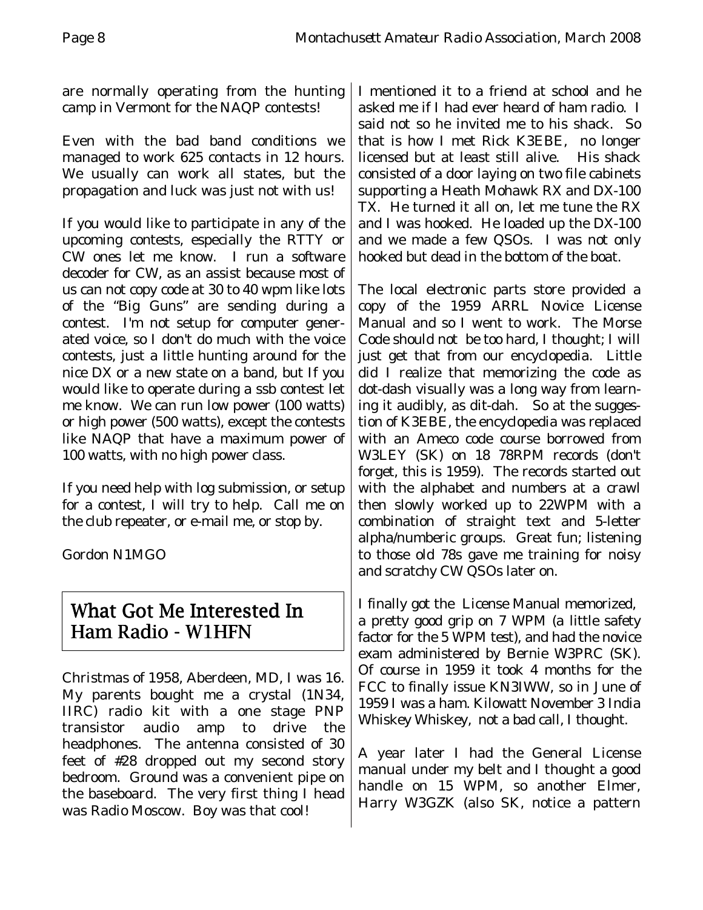are normally operating from the hunting camp in Vermont for the NAQP contests!

Even with the bad band conditions we managed to work 625 contacts in 12 hours. We usually can work all states, but the propagation and luck was just not with us!

If you would like to participate in any of the upcoming contests, especially the RTTY or CW ones let me know. I run a software decoder for CW, as an assist because most of us can not copy code at 30 to 40 wpm like lots of the "Big Guns" are sending during a contest. I'm not setup for computer generated voice, so I don't do much with the voice contests, just a little hunting around for the nice DX or a new state on a band, but If you would like to operate during a ssb contest let me know. We can run low power (100 watts) or high power (500 watts), except the contests like NAQP that have a maximum power of 100 watts, with no high power class.

If you need help with log submission, or setup for a contest, I will try to help. Call me on the club repeater, or e-mail me, or stop by.

Gordon N1MGO

## What Got Me Interested In Ham Radio - W1HFN

Christmas of 1958, Aberdeen, MD, I was 16. My parents bought me a crystal (1N34, IIRC) radio kit with a one stage PNP transistor audio amp to drive the headphones. The antenna consisted of 30 feet of #28 dropped out my second story bedroom. Ground was a convenient pipe on the baseboard. The very first thing I head was Radio Moscow. Boy was that cool!

I mentioned it to a friend at school and he asked me if I had ever heard of ham radio. I said not so he invited me to his shack. So that is how I met Rick K3EBE, no longer licensed but at least still alive. His shack consisted of a door laying on two file cabinets supporting a Heath Mohawk RX and DX-100 TX. He turned it all on, let me tune the RX and I was hooked. He loaded up the DX-100 and we made a few QSOs. I was not only hooked but dead in the bottom of the boat.

The local electronic parts store provided a copy of the 1959 ARRL Novice License Manual and so I went to work. The Morse Code should not be too hard, I thought; I will just get that from our encyclopedia. Little did I realize that memorizing the code as dot-dash visually was a long way from learning it audibly, as dit-dah. So at the suggestion of K3EBE, the encyclopedia was replaced with an Ameco code course borrowed from W3LEY (SK) on 18 78RPM records (don't forget, this is 1959). The records started out with the alphabet and numbers at a crawl then slowly worked up to 22WPM with a combination of straight text and 5-letter alpha/numberic groups. Great fun; listening to those old 78s gave me training for noisy and scratchy CW QSOs later on.

I finally got the License Manual memorized, a pretty good grip on 7 WPM (a little safety factor for the 5 WPM test), and had the novice exam administered by Bernie W3PRC (SK). Of course in 1959 it took 4 months for the FCC to finally issue KN3IWW, so in June of 1959 I was a ham. Kilowatt November 3 India Whiskey Whiskey, not a bad call, I thought.

A year later I had the General License manual under my belt and I thought a good handle on 15 WPM, so another Elmer, Harry W3GZK (also SK, notice a pattern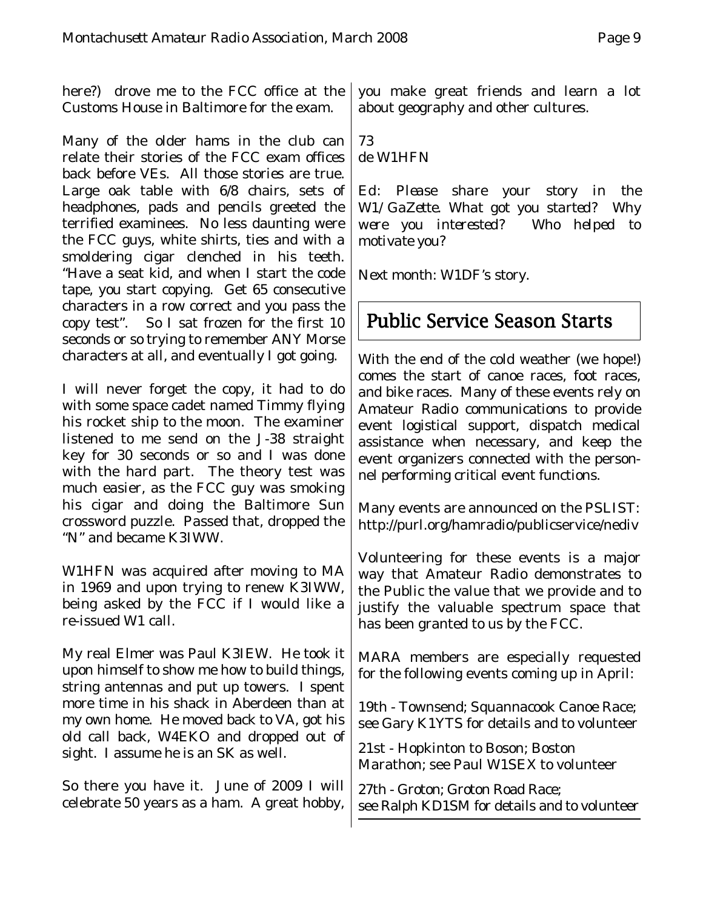here?) drove me to the FCC office at the Customs House in Baltimore for the exam.

Many of the older hams in the club can relate their stories of the FCC exam offices back before VEs. All those stories are true. Large oak table with 6/8 chairs, sets of headphones, pads and pencils greeted the terrified examinees. No less daunting were the FCC guys, white shirts, ties and with a smoldering cigar clenched in his teeth. "Have a seat kid, and when I start the code tape, you start copying. Get 65 consecutive characters in a row correct and you pass the copy test". So I sat frozen for the first 10 seconds or so trying to remember ANY Morse characters at all, and eventually I got going.

I will never forget the copy, it had to do with some space cadet named Timmy flying his rocket ship to the moon. The examiner listened to me send on the J-38 straight key for 30 seconds or so and I was done with the hard part. The theory test was much easier, as the FCC guy was smoking his cigar and doing the Baltimore Sun crossword puzzle. Passed that, dropped the "N" and became K3IWW.

W1HFN was acquired after moving to MA in 1969 and upon trying to renew K3IWW, being asked by the FCC if I would like a re-issued W1 call.

My real Elmer was Paul K3IEW. He took it upon himself to show me how to build things, string antennas and put up towers. I spent more time in his shack in Aberdeen than at my own home. He moved back to VA, got his old call back, W4EKO and dropped out of sight. I assume he is an SK as well.

So there you have it. June of 2009 I will celebrate 50 years as a ham. A great hobby, you make great friends and learn a lot about geography and other cultures.

73 de W1HFN

*Ed: Please share your story in the W1/GaZette. What got you started? Why were you interested? Who helped to motivate you?*

*Next month:* W1DF's *story.*

# Public Service Season Starts

With the end of the cold weather (we hope!) comes the start of canoe races, foot races, and bike races. Many of these events rely on Amateur Radio communications to provide event logistical support, dispatch medical assistance when necessary, and keep the event organizers connected with the personnel performing critical event functions.

Many events are announced on the PSLIST: http://purl.org/hamradio/publicservice/nediv

Volunteering for these events is a major way that Amateur Radio demonstrates to the Public the value that we provide and to justify the valuable spectrum space that has been granted to us by the FCC.

MARA members are especially requested for the following events coming up in April:

19th - Townsend; Squannacook Canoe Race; see Gary K1YTS for details and to volunteer

21st - Hopkinton to Boson; Boston Marathon; see Paul W1SEX to volunteer

27th - Groton; Groton Road Race; see Ralph KD1SM for details and to volunteer